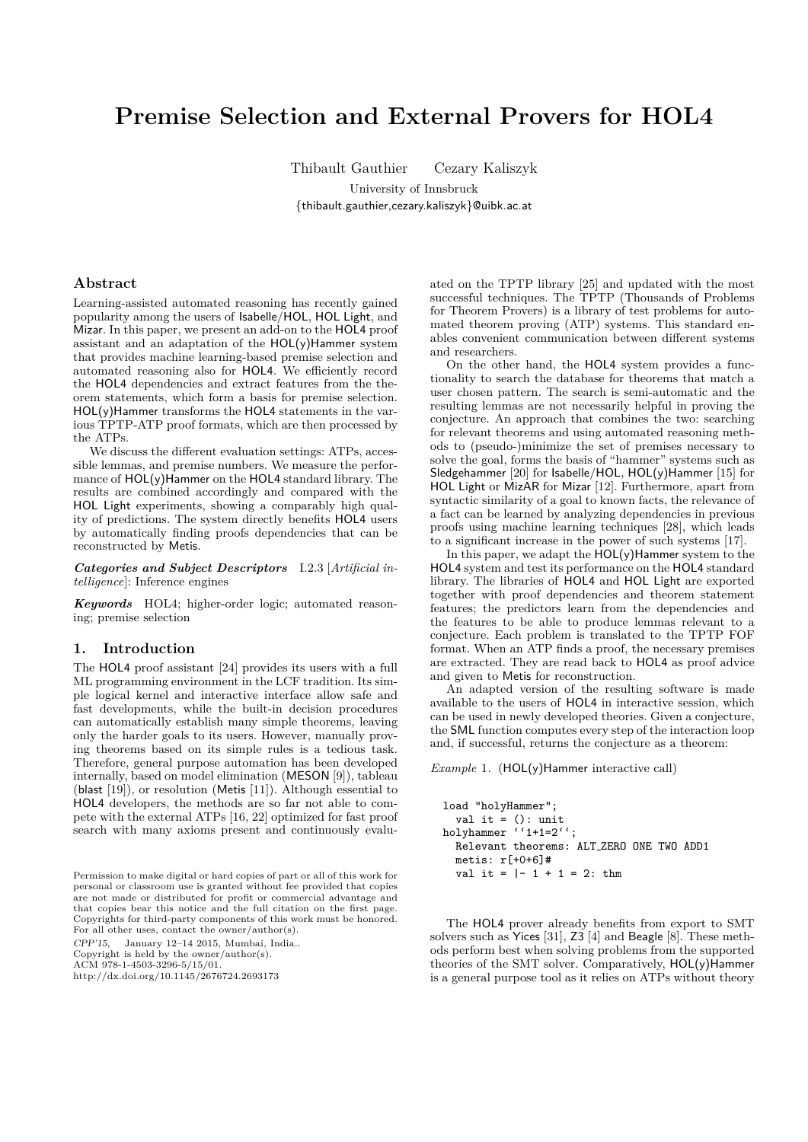# **Premise Selection and External Provers for HOL4**

Thibault Gauthier Cezary Kaliszyk University of Innsbruck {thibault.gauthier,cezary.kaliszyk}@uibk.ac.at

# **Abstract**

Learning-assisted automated reasoning has recently gained popularity among the users of Isabelle/HOL, HOL Light, and Mizar. In this paper, we present an add-on to the HOL4 proof assistant and an adaptation of the HOL(y)Hammer system that provides machine learning-based premise selection and automated reasoning also for HOL4. We efficiently record the HOL4 dependencies and extract features from the theorem statements, which form a basis for premise selection.  $HOL(y)$ Hammer transforms the HOL4 statements in the various TPTP-ATP proof formats, which are then processed by the ATPs.

We discuss the different evaluation settings: ATPs, accessible lemmas, and premise numbers. We measure the performance of HOL(y)Hammer on the HOL4 standard library. The results are combined accordingly and compared with the HOL Light experiments, showing a comparably high quality of predictions. The system directly benefits HOL4 users by automatically finding proofs dependencies that can be reconstructed by Metis.

*Categories and Subject Descriptors* I.2.3 [*Artificial intelligence*]: Inference engines

*Keywords* HOL4; higher-order logic; automated reasoning; premise selection

# **1. Introduction**

The HOL4 proof assistant [24] provides its users with a full ML programming environment in the LCF tradition. Its simple logical kernel and interactive interface allow safe and fast developments, while the built-in decision procedures can automatically establish many simple theorems, leaving only the harder goals to its users. However, manually proving theorems based on its simple rules is a tedious task. Therefore, general purpose automation has been developed internally, based on model elimination (MESON [9]), tableau (blast [19]), or resolution (Metis [11]). Although essential to HOL4 developers, the methods are so far not able to compete with the external ATPs [16, 22] optimized for fast proof search with many axioms present and continuously evalu-

Permission to make digital or hard copies of part or all of this work for personal or classroom use is granted without fee provided that copies are not made or distributed for profit or commercial advantage and that copies bear this notice and the full citation on the first page. Copyrights for third-party components of this work must be honored. For all other uses, contact the owner/author(s).

CPP'15, January 12–14 2015, Mumbai, India..

Copyright is held by the owner/author(s). ACM 978-1-4503-3296-5/15/01.

ated on the TPTP library [25] and updated with the most successful techniques. The TPTP (Thousands of Problems for Theorem Provers) is a library of test problems for automated theorem proving (ATP) systems. This standard enables convenient communication between different systems and researchers.

On the other hand, the HOL4 system provides a functionality to search the database for theorems that match a user chosen pattern. The search is semi-automatic and the resulting lemmas are not necessarily helpful in proving the conjecture. An approach that combines the two: searching for relevant theorems and using automated reasoning methods to (pseudo-)minimize the set of premises necessary to solve the goal, forms the basis of "hammer" systems such as Sledgehammer [20] for Isabelle/HOL, HOL(y)Hammer [15] for HOL Light or MizAR for Mizar [12]. Furthermore, apart from syntactic similarity of a goal to known facts, the relevance of a fact can be learned by analyzing dependencies in previous proofs using machine learning techniques [28], which leads to a significant increase in the power of such systems [17].

In this paper, we adapt the HOL(y)Hammer system to the HOL4 system and test its performance on the HOL4 standard library. The libraries of HOL4 and HOL Light are exported together with proof dependencies and theorem statement features; the predictors learn from the dependencies and the features to be able to produce lemmas relevant to a conjecture. Each problem is translated to the TPTP FOF format. When an ATP finds a proof, the necessary premises are extracted. They are read back to HOL4 as proof advice and given to Metis for reconstruction.

An adapted version of the resulting software is made available to the users of HOL4 in interactive session, which can be used in newly developed theories. Given a conjecture, the SML function computes every step of the interaction loop and, if successful, returns the conjecture as a theorem:

*Example* 1*.* (HOL(y)Hammer interactive call)

```
load "holyHammer";
 val it = (): unit
holyhammer ''1+1=2'';
 Relevant theorems: ALT ZERO ONE TWO ADD1
  metis: r[+0+6]#
  val it = |-1 + 1 = 2: thm
```
The HOL4 prover already benefits from export to SMT solvers such as Yices [31], Z3 [4] and Beagle [8]. These methods perform best when solving problems from the supported theories of the SMT solver. Comparatively, HOL(y)Hammer is a general purpose tool as it relies on ATPs without theory

http://dx.doi.org/10.1145/2676724.2693173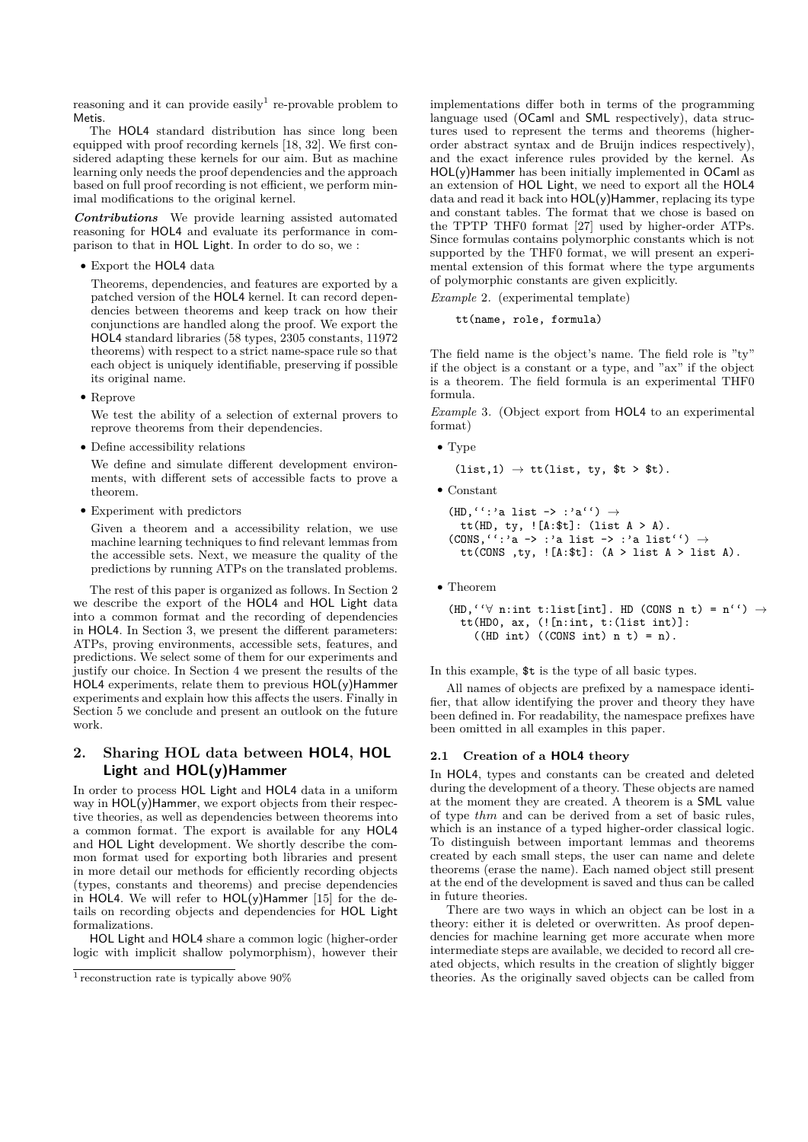reasoning and it can provide easily<sup>1</sup> re-provable problem to Metis.

The HOL4 standard distribution has since long been equipped with proof recording kernels [18, 32]. We first considered adapting these kernels for our aim. But as machine learning only needs the proof dependencies and the approach based on full proof recording is not efficient, we perform minimal modifications to the original kernel.

*Contributions* We provide learning assisted automated reasoning for HOL4 and evaluate its performance in comparison to that in HOL Light. In order to do so, we :

• Export the HOL4 data

Theorems, dependencies, and features are exported by a patched version of the HOL4 kernel. It can record dependencies between theorems and keep track on how their conjunctions are handled along the proof. We export the HOL4 standard libraries (58 types, 2305 constants, 11972 theorems) with respect to a strict name-space rule so that each object is uniquely identifiable, preserving if possible its original name.

• Reprove

We test the ability of a selection of external provers to reprove theorems from their dependencies.

• Define accessibility relations

We define and simulate different development environments, with different sets of accessible facts to prove a theorem.

• Experiment with predictors

Given a theorem and a accessibility relation, we use machine learning techniques to find relevant lemmas from the accessible sets. Next, we measure the quality of the predictions by running ATPs on the translated problems.

The rest of this paper is organized as follows. In Section 2 we describe the export of the HOL4 and HOL Light data into a common format and the recording of dependencies in HOL4. In Section 3, we present the different parameters: ATPs, proving environments, accessible sets, features, and predictions. We select some of them for our experiments and justify our choice. In Section 4 we present the results of the HOL4 experiments, relate them to previous HOL(y)Hammer experiments and explain how this affects the users. Finally in Section 5 we conclude and present an outlook on the future work.

# **2. Sharing HOL data between HOL4, HOL Light and HOL(y)Hammer**

In order to process HOL Light and HOL4 data in a uniform way in HOL(y)Hammer, we export objects from their respective theories, as well as dependencies between theorems into a common format. The export is available for any HOL4 and HOL Light development. We shortly describe the common format used for exporting both libraries and present in more detail our methods for efficiently recording objects (types, constants and theorems) and precise dependencies in HOL4. We will refer to  $HOL(y)$ Hammer [15] for the details on recording objects and dependencies for HOL Light formalizations.

HOL Light and HOL4 share a common logic (higher-order logic with implicit shallow polymorphism), however their implementations differ both in terms of the programming language used (OCaml and SML respectively), data structures used to represent the terms and theorems (higherorder abstract syntax and de Bruijn indices respectively), and the exact inference rules provided by the kernel. As HOL(y)Hammer has been initially implemented in OCaml as an extension of HOL Light, we need to export all the HOL4 data and read it back into HOL(y)Hammer, replacing its type and constant tables. The format that we chose is based on the TPTP THF0 format [27] used by higher-order ATPs. Since formulas contains polymorphic constants which is not supported by the THF0 format, we will present an experimental extension of this format where the type arguments of polymorphic constants are given explicitly.

*Example* 2*.* (experimental template)

tt(name, role, formula)

The field name is the object's name. The field role is "ty" if the object is a constant or a type, and "ax" if the object is a theorem. The field formula is an experimental THF0 formula.

*Example* 3*.* (Object export from HOL4 to an experimental format)

• Type

```
(list,1) \rightarrow tt(list, ty, $t > $t).
```
• Constant

```
(HD, '':'a list \rightarrow :'a'') \rightarrowtt(HD, ty, ![A:$t]: (list A > A).
(CONS, '': 'a -> 'a list -> 'a list'') \rightarrowtt(CONS, ty, ![A: $t]: (A > list A > list A).
```
• Theorem

```
(HD, ' \forall n:int t:list[int]. HD (CONS n t) = n'') \rightarrowtt(HD0, ax, (![n:int, t:(list int)]:
    ((HD int) ((CONS int) n t) = n).
```
In this example, \$t is the type of all basic types.

All names of objects are prefixed by a namespace identifier, that allow identifying the prover and theory they have been defined in. For readability, the namespace prefixes have been omitted in all examples in this paper.

# **2.1 Creation of a HOL4 theory**

In HOL4, types and constants can be created and deleted during the development of a theory. These objects are named at the moment they are created. A theorem is a SML value of type *thm* and can be derived from a set of basic rules, which is an instance of a typed higher-order classical logic. To distinguish between important lemmas and theorems created by each small steps, the user can name and delete theorems (erase the name). Each named object still present at the end of the development is saved and thus can be called in future theories.

There are two ways in which an object can be lost in a theory: either it is deleted or overwritten. As proof dependencies for machine learning get more accurate when more intermediate steps are available, we decided to record all created objects, which results in the creation of slightly bigger theories. As the originally saved objects can be called from

<sup>1</sup> reconstruction rate is typically above 90%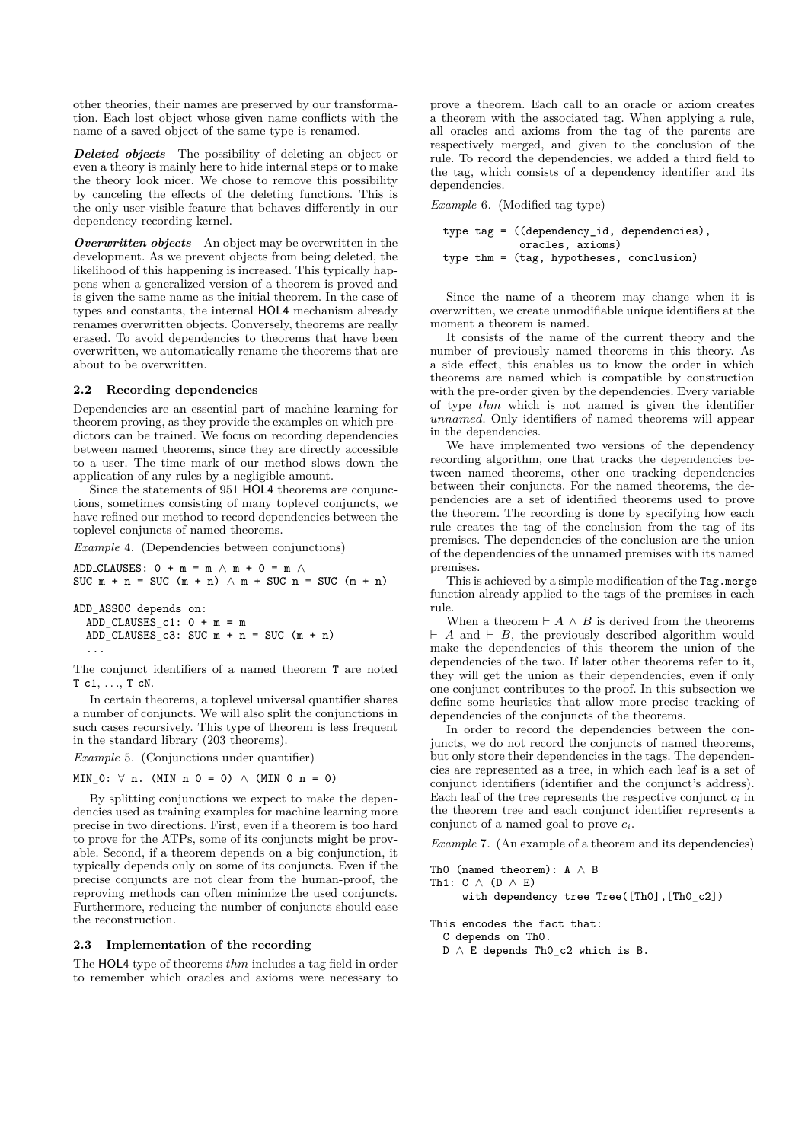other theories, their names are preserved by our transformation. Each lost object whose given name conflicts with the name of a saved object of the same type is renamed.

*Deleted objects* The possibility of deleting an object or even a theory is mainly here to hide internal steps or to make the theory look nicer. We chose to remove this possibility by canceling the effects of the deleting functions. This is the only user-visible feature that behaves differently in our dependency recording kernel.

*Overwritten objects* An object may be overwritten in the development. As we prevent objects from being deleted, the likelihood of this happening is increased. This typically happens when a generalized version of a theorem is proved and is given the same name as the initial theorem. In the case of types and constants, the internal HOL4 mechanism already renames overwritten objects. Conversely, theorems are really erased. To avoid dependencies to theorems that have been overwritten, we automatically rename the theorems that are about to be overwritten.

## **2.2 Recording dependencies**

Dependencies are an essential part of machine learning for theorem proving, as they provide the examples on which predictors can be trained. We focus on recording dependencies between named theorems, since they are directly accessible to a user. The time mark of our method slows down the application of any rules by a negligible amount.

Since the statements of 951 HOL4 theorems are conjunctions, sometimes consisting of many toplevel conjuncts, we have refined our method to record dependencies between the toplevel conjuncts of named theorems.

*Example* 4*.* (Dependencies between conjunctions)

ADD\_CLAUSES:  $0 + m = m \wedge m + 0 = m \wedge$ SUC  $m + n = SUC (m + n) \wedge m + SUC n = SUC (m + n)$ 

ADD\_ASSOC depends on:  $ADD\_CLASS\_c1: 0 + m = m$ ADD CLAUSES c3: SUC  $m + n = SUC$   $(m + n)$ ...

The conjunct identifiers of a named theorem T are noted  $T_c 1, ..., T_c N$ .

In certain theorems, a toplevel universal quantifier shares a number of conjuncts. We will also split the conjunctions in such cases recursively. This type of theorem is less frequent in the standard library (203 theorems).

*Example* 5*.* (Conjunctions under quantifier)

```
MIN_0: \forall n. (MIN n 0 = 0) \land (MIN 0 n = 0)
```
By splitting conjunctions we expect to make the dependencies used as training examples for machine learning more precise in two directions. First, even if a theorem is too hard to prove for the ATPs, some of its conjuncts might be provable. Second, if a theorem depends on a big conjunction, it typically depends only on some of its conjuncts. Even if the precise conjuncts are not clear from the human-proof, the reproving methods can often minimize the used conjuncts. Furthermore, reducing the number of conjuncts should ease the reconstruction.

#### **2.3 Implementation of the recording**

The HOL4 type of theorems *thm* includes a tag field in order to remember which oracles and axioms were necessary to prove a theorem. Each call to an oracle or axiom creates a theorem with the associated tag. When applying a rule, all oracles and axioms from the tag of the parents are respectively merged, and given to the conclusion of the rule. To record the dependencies, we added a third field to the tag, which consists of a dependency identifier and its dependencies.

*Example* 6*.* (Modified tag type)

type tag = ((dependency\_id, dependencies), oracles, axioms) type thm = (tag, hypotheses, conclusion)

Since the name of a theorem may change when it is overwritten, we create unmodifiable unique identifiers at the moment a theorem is named.

It consists of the name of the current theory and the number of previously named theorems in this theory. As a side effect, this enables us to know the order in which theorems are named which is compatible by construction with the pre-order given by the dependencies. Every variable of type *thm* which is not named is given the identifier *unnamed*. Only identifiers of named theorems will appear in the dependencies.

We have implemented two versions of the dependency recording algorithm, one that tracks the dependencies between named theorems, other one tracking dependencies between their conjuncts. For the named theorems, the dependencies are a set of identified theorems used to prove the theorem. The recording is done by specifying how each rule creates the tag of the conclusion from the tag of its premises. The dependencies of the conclusion are the union of the dependencies of the unnamed premises with its named premises.

This is achieved by a simple modification of the Tag.merge function already applied to the tags of the premises in each rule.

When a theorem  $\vdash A \land B$  is derived from the theorems  $\vdash$  *A* and  $\vdash$  *B*, the previously described algorithm would make the dependencies of this theorem the union of the dependencies of the two. If later other theorems refer to it, they will get the union as their dependencies, even if only one conjunct contributes to the proof. In this subsection we define some heuristics that allow more precise tracking of dependencies of the conjuncts of the theorems.

In order to record the dependencies between the conjuncts, we do not record the conjuncts of named theorems, but only store their dependencies in the tags. The dependencies are represented as a tree, in which each leaf is a set of conjunct identifiers (identifier and the conjunct's address). Each leaf of the tree represents the respective conjunct  $c_i$  in the theorem tree and each conjunct identifier represents a conjunct of a named goal to prove *ci*.

*Example* 7. (An example of a theorem and its dependencies)

Th0 (named theorem):  $A \wedge B$ 

Th1:  $C \wedge (D \wedge E)$ with dependency tree Tree([Th0],[Th0\_c2])

This encodes the fact that:

```
C depends on Th0.
```
D ∧ E depends Th0\_c2 which is B.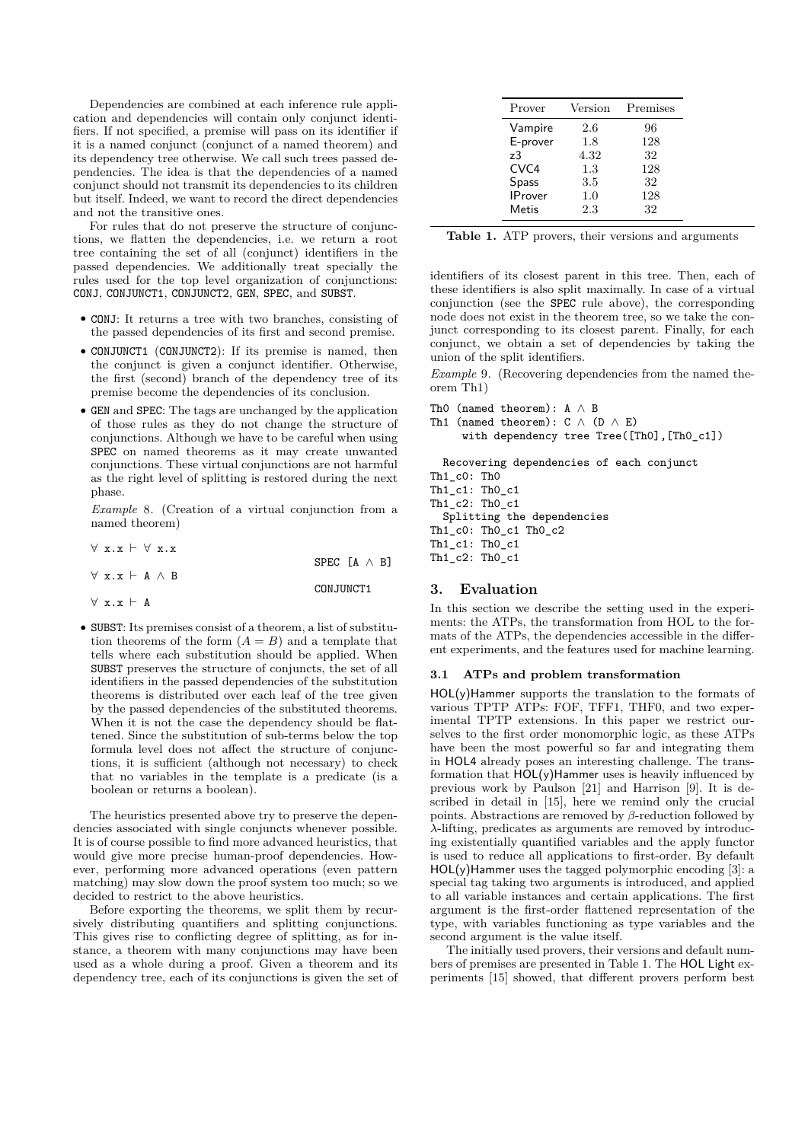Dependencies are combined at each inference rule application and dependencies will contain only conjunct identifiers. If not specified, a premise will pass on its identifier if it is a named conjunct (conjunct of a named theorem) and its dependency tree otherwise. We call such trees passed dependencies. The idea is that the dependencies of a named conjunct should not transmit its dependencies to its children but itself. Indeed, we want to record the direct dependencies and not the transitive ones.

For rules that do not preserve the structure of conjunctions, we flatten the dependencies, i.e. we return a root tree containing the set of all (conjunct) identifiers in the passed dependencies. We additionally treat specially the rules used for the top level organization of conjunctions: CONJ, CONJUNCT1, CONJUNCT2, GEN, SPEC, and SUBST.

- CONJ: It returns a tree with two branches, consisting of the passed dependencies of its first and second premise.
- CONJUNCT1 (CONJUNCT2): If its premise is named, then the conjunct is given a conjunct identifier. Otherwise, the first (second) branch of the dependency tree of its premise become the dependencies of its conclusion.
- GEN and SPEC: The tags are unchanged by the application of those rules as they do not change the structure of conjunctions. Although we have to be careful when using SPEC on named theorems as it may create unwanted conjunctions. These virtual conjunctions are not harmful as the right level of splitting is restored during the next phase.

*Example* 8*.* (Creation of a virtual conjunction from a named theorem)

| $\forall x.x \vdash \forall x.x$ |                     |
|----------------------------------|---------------------|
|                                  | SPEC $[A \wedge B]$ |
| $\forall x.x \vdash A \land B$   |                     |
|                                  | CONJUNCT1           |
| $\forall x.x \vdash A$           |                     |

• SUBST: Its premises consist of a theorem, a list of substitution theorems of the form  $(A = B)$  and a template that tells where each substitution should be applied. When SUBST preserves the structure of conjuncts, the set of all identifiers in the passed dependencies of the substitution theorems is distributed over each leaf of the tree given by the passed dependencies of the substituted theorems. When it is not the case the dependency should be flattened. Since the substitution of sub-terms below the top formula level does not affect the structure of conjunctions, it is sufficient (although not necessary) to check that no variables in the template is a predicate (is a boolean or returns a boolean).

The heuristics presented above try to preserve the dependencies associated with single conjuncts whenever possible. It is of course possible to find more advanced heuristics, that would give more precise human-proof dependencies. However, performing more advanced operations (even pattern matching) may slow down the proof system too much; so we decided to restrict to the above heuristics.

Before exporting the theorems, we split them by recursively distributing quantifiers and splitting conjunctions. This gives rise to conflicting degree of splitting, as for instance, a theorem with many conjunctions may have been used as a whole during a proof. Given a theorem and its dependency tree, each of its conjunctions is given the set of

| Prover           | Version | Premises |
|------------------|---------|----------|
| Vampire          | 2.6     | 96       |
| E-prover         | 1.8     | 128      |
| z3               | 4.32    | 32       |
| CVC <sub>4</sub> | 1.3     | 128      |
| Spass            | 3.5     | 32       |
| <b>IProver</b>   | 1.0     | 128      |
| Metis            | 2.3     | 32       |

**Table 1.** ATP provers, their versions and arguments

identifiers of its closest parent in this tree. Then, each of these identifiers is also split maximally. In case of a virtual conjunction (see the SPEC rule above), the corresponding node does not exist in the theorem tree, so we take the conjunct corresponding to its closest parent. Finally, for each conjunct, we obtain a set of dependencies by taking the union of the split identifiers.

*Example* 9*.* (Recovering dependencies from the named theorem Th1)

```
Th0 (named theorem): A \wedge B
```

```
Th1 (named theorem): C \wedge (D \wedge E)with dependency tree Tree([Th0],[Th0_c1])
```
Recovering dependencies of each conjunct Th1\_c0: Th0 Th1\_c1: Th0\_c1 Th1\_c2: Th0\_c1 Splitting the dependencies Th1\_c0: Th0\_c1 Th0\_c2 Th1\_c1: Th0\_c1 Th1\_c2: Th0\_c1

# **3. Evaluation**

In this section we describe the setting used in the experiments: the ATPs, the transformation from HOL to the formats of the ATPs, the dependencies accessible in the different experiments, and the features used for machine learning.

#### **3.1 ATPs and problem transformation**

HOL(y)Hammer supports the translation to the formats of various TPTP ATPs: FOF, TFF1, THF0, and two experimental TPTP extensions. In this paper we restrict ourselves to the first order monomorphic logic, as these ATPs have been the most powerful so far and integrating them in HOL4 already poses an interesting challenge. The transformation that  $HOL(y)$ Hammer uses is heavily influenced by previous work by Paulson [21] and Harrison [9]. It is described in detail in [15], here we remind only the crucial points. Abstractions are removed by *β*-reduction followed by *λ*-lifting, predicates as arguments are removed by introducing existentially quantified variables and the apply functor is used to reduce all applications to first-order. By default HOL(y)Hammer uses the tagged polymorphic encoding [3]: a special tag taking two arguments is introduced, and applied to all variable instances and certain applications. The first argument is the first-order flattened representation of the type, with variables functioning as type variables and the second argument is the value itself.

The initially used provers, their versions and default numbers of premises are presented in Table 1. The HOL Light experiments [15] showed, that different provers perform best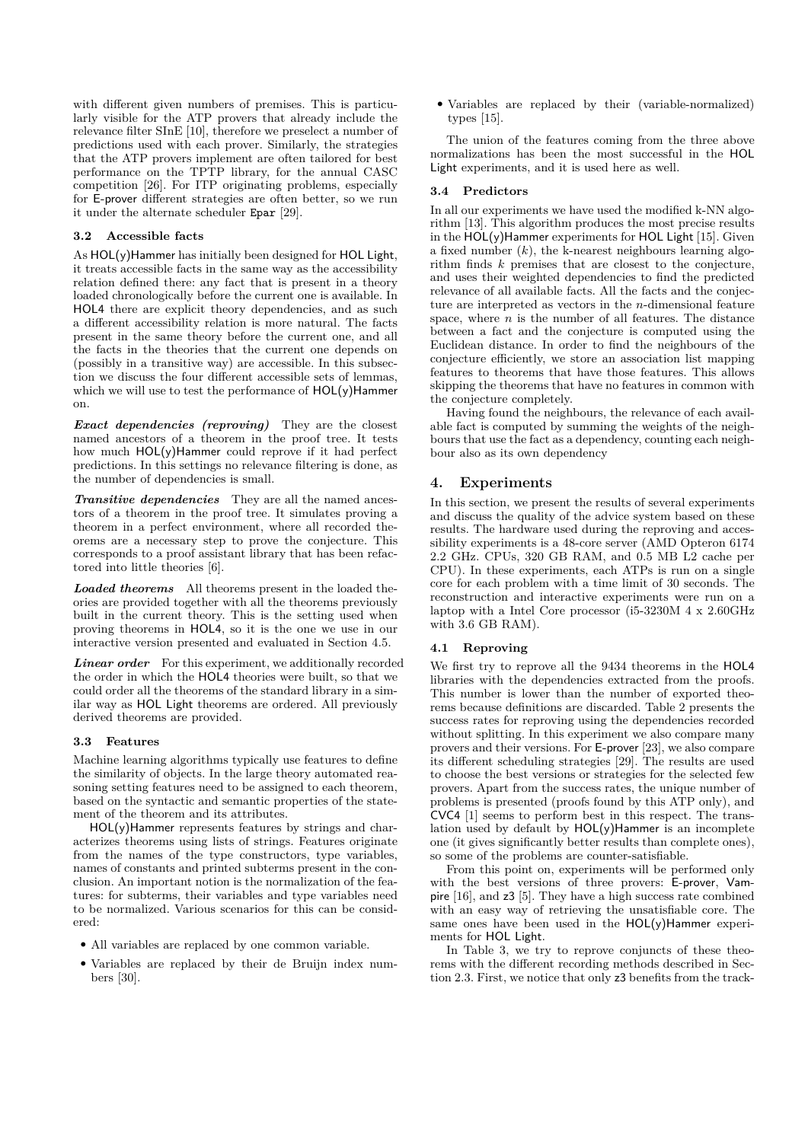with different given numbers of premises. This is particularly visible for the ATP provers that already include the relevance filter SInE [10], therefore we preselect a number of predictions used with each prover. Similarly, the strategies that the ATP provers implement are often tailored for best performance on the TPTP library, for the annual CASC competition [26]. For ITP originating problems, especially for E-prover different strategies are often better, so we run it under the alternate scheduler Epar [29].

#### **3.2 Accessible facts**

As HOL(y)Hammer has initially been designed for HOL Light, it treats accessible facts in the same way as the accessibility relation defined there: any fact that is present in a theory loaded chronologically before the current one is available. In HOL4 there are explicit theory dependencies, and as such a different accessibility relation is more natural. The facts present in the same theory before the current one, and all the facts in the theories that the current one depends on (possibly in a transitive way) are accessible. In this subsection we discuss the four different accessible sets of lemmas, which we will use to test the performance of  $HOL(y)$ Hammer on.

*Exact dependencies (reproving)* They are the closest named ancestors of a theorem in the proof tree. It tests how much HOL(y)Hammer could reprove if it had perfect predictions. In this settings no relevance filtering is done, as the number of dependencies is small.

*Transitive dependencies* They are all the named ancestors of a theorem in the proof tree. It simulates proving a theorem in a perfect environment, where all recorded theorems are a necessary step to prove the conjecture. This corresponds to a proof assistant library that has been refactored into little theories [6].

*Loaded theorems* All theorems present in the loaded theories are provided together with all the theorems previously built in the current theory. This is the setting used when proving theorems in HOL4, so it is the one we use in our interactive version presented and evaluated in Section 4.5.

**Linear order** For this experiment, we additionally recorded the order in which the HOL4 theories were built, so that we could order all the theorems of the standard library in a similar way as HOL Light theorems are ordered. All previously derived theorems are provided.

#### **3.3 Features**

Machine learning algorithms typically use features to define the similarity of objects. In the large theory automated reasoning setting features need to be assigned to each theorem, based on the syntactic and semantic properties of the statement of the theorem and its attributes.

HOL(y)Hammer represents features by strings and characterizes theorems using lists of strings. Features originate from the names of the type constructors, type variables, names of constants and printed subterms present in the conclusion. An important notion is the normalization of the features: for subterms, their variables and type variables need to be normalized. Various scenarios for this can be considered:

- All variables are replaced by one common variable.
- Variables are replaced by their de Bruijn index numbers [30].

• Variables are replaced by their (variable-normalized) types [15].

The union of the features coming from the three above normalizations has been the most successful in the HOL Light experiments, and it is used here as well.

#### **3.4 Predictors**

In all our experiments we have used the modified k-NN algorithm [13]. This algorithm produces the most precise results in the  $HOL(y)$ Hammer experiments for  $HOL$  Light [15]. Given a fixed number (*k*), the k-nearest neighbours learning algorithm finds *k* premises that are closest to the conjecture, and uses their weighted dependencies to find the predicted relevance of all available facts. All the facts and the conjecture are interpreted as vectors in the *n*-dimensional feature space, where *n* is the number of all features. The distance between a fact and the conjecture is computed using the Euclidean distance. In order to find the neighbours of the conjecture efficiently, we store an association list mapping features to theorems that have those features. This allows skipping the theorems that have no features in common with the conjecture completely.

Having found the neighbours, the relevance of each available fact is computed by summing the weights of the neighbours that use the fact as a dependency, counting each neighbour also as its own dependency

#### **4. Experiments**

In this section, we present the results of several experiments and discuss the quality of the advice system based on these results. The hardware used during the reproving and accessibility experiments is a 48-core server (AMD Opteron 6174 2.2 GHz. CPUs, 320 GB RAM, and 0.5 MB L2 cache per CPU). In these experiments, each ATPs is run on a single core for each problem with a time limit of 30 seconds. The reconstruction and interactive experiments were run on a laptop with a Intel Core processor (i5-3230M 4 x 2.60GHz with 3.6 GB RAM).

#### **4.1 Reproving**

We first try to reprove all the 9434 theorems in the HOL4 libraries with the dependencies extracted from the proofs. This number is lower than the number of exported theorems because definitions are discarded. Table 2 presents the success rates for reproving using the dependencies recorded without splitting. In this experiment we also compare many provers and their versions. For E-prover [23], we also compare its different scheduling strategies [29]. The results are used to choose the best versions or strategies for the selected few provers. Apart from the success rates, the unique number of problems is presented (proofs found by this ATP only), and CVC4 [1] seems to perform best in this respect. The translation used by default by  $HOL(y)$ Hammer is an incomplete one (it gives significantly better results than complete ones), so some of the problems are counter-satisfiable.

From this point on, experiments will be performed only with the best versions of three provers: E-prover, Vampire [16], and z3 [5]. They have a high success rate combined with an easy way of retrieving the unsatisfiable core. The same ones have been used in the  $HOL(y)$ Hammer experiments for HOL Light.

In Table 3, we try to reprove conjuncts of these theorems with the different recording methods described in Section 2.3. First, we notice that only z3 benefits from the track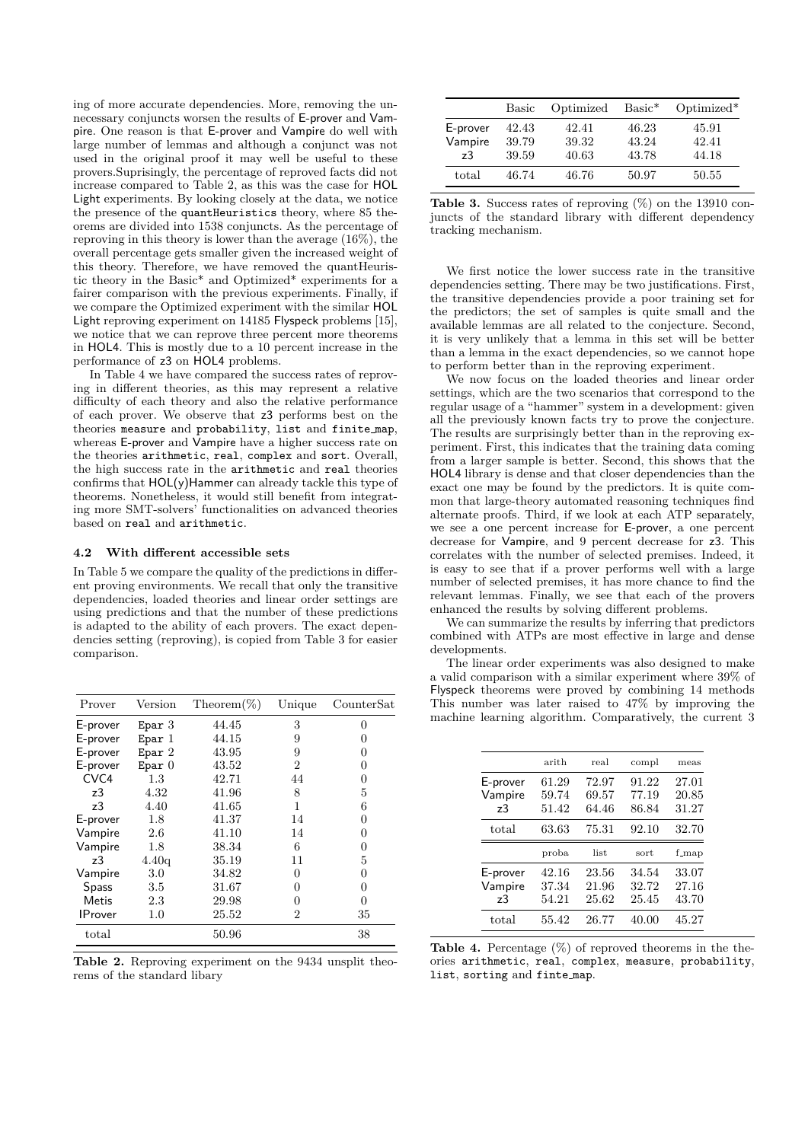ing of more accurate dependencies. More, removing the unnecessary conjuncts worsen the results of E-prover and Vampire. One reason is that E-prover and Vampire do well with large number of lemmas and although a conjunct was not used in the original proof it may well be useful to these provers.Suprisingly, the percentage of reproved facts did not increase compared to Table 2, as this was the case for HOL Light experiments. By looking closely at the data, we notice the presence of the quantHeuristics theory, where 85 theorems are divided into 1538 conjuncts. As the percentage of reproving in this theory is lower than the average (16%), the overall percentage gets smaller given the increased weight of this theory. Therefore, we have removed the quantHeuristic theory in the Basic\* and Optimized\* experiments for a fairer comparison with the previous experiments. Finally, if we compare the Optimized experiment with the similar HOL Light reproving experiment on 14185 Flyspeck problems [15], we notice that we can reprove three percent more theorems in HOL4. This is mostly due to a 10 percent increase in the performance of z3 on HOL4 problems.

In Table 4 we have compared the success rates of reproving in different theories, as this may represent a relative difficulty of each theory and also the relative performance of each prover. We observe that z3 performs best on the theories measure and probability, list and finite map, whereas E-prover and Vampire have a higher success rate on the theories arithmetic, real, complex and sort. Overall, the high success rate in the arithmetic and real theories confirms that HOL(y)Hammer can already tackle this type of theorems. Nonetheless, it would still benefit from integrating more SMT-solvers' functionalities on advanced theories based on real and arithmetic.

#### **4.2 With different accessible sets**

In Table 5 we compare the quality of the predictions in different proving environments. We recall that only the transitive dependencies, loaded theories and linear order settings are using predictions and that the number of these predictions is adapted to the ability of each provers. The exact dependencies setting (reproving), is copied from Table 3 for easier comparison.

| Prover         | Version  | $Theorem (\% )$ | Unique   | CounterSat   |
|----------------|----------|-----------------|----------|--------------|
| E-prover       | Epar3    | 44.45           | 3        | 0            |
| E-prover       | Epar1    | 44.15           | 9        | 0            |
| E-prover       | $Epar$ 2 | 43.95           | 9        | 0            |
| E-prover       | $Epar$ 0 | 43.52           | 2        | 0            |
| CVC4           | 1.3      | 42.71           | 44       | 0            |
| z3             | 4.32     | 41.96           | 8        | 5            |
| z3             | 4.40     | 41.65           | 1        | 6            |
| E-prover       | 1.8      | 41.37           | 14       | $\mathbf{0}$ |
| Vampire        | 2.6      | 41.10           | 14       | 0            |
| Vampire        | 1.8      | 38.34           | 6        | $\theta$     |
| z3             | 4.40q    | 35.19           | 11       | 5            |
| Vampire        | 3.0      | 34.82           | 0        | 0            |
| <b>Spass</b>   | 3.5      | 31.67           | $\theta$ | $\theta$     |
| Metis          | 2.3      | 29.98           | $\theta$ | 0            |
| <b>IProver</b> | 1.0      | 25.52           | 2        | 35           |
| $_{\rm total}$ |          | 50.96           |          | 38           |

**Table 2.** Reproving experiment on the 9434 unsplit theorems of the standard libary

|                | Basic | Optimized | $Basic*$ | $Optimized*$ |
|----------------|-------|-----------|----------|--------------|
| E-prover       | 42.43 | 42.41     | 46.23    | 45.91        |
| Vampire        | 39.79 | 39.32     | 43.24    | 42.41        |
| z <sub>3</sub> | 39.59 | 40.63     | 43.78    | 44.18        |
| total          | 46.74 | 46.76     | 50.97    | 50.55        |

**Table 3.** Success rates of reproving (%) on the 13910 conjuncts of the standard library with different dependency tracking mechanism.

We first notice the lower success rate in the transitive dependencies setting. There may be two justifications. First, the transitive dependencies provide a poor training set for the predictors; the set of samples is quite small and the available lemmas are all related to the conjecture. Second, it is very unlikely that a lemma in this set will be better than a lemma in the exact dependencies, so we cannot hope to perform better than in the reproving experiment.

We now focus on the loaded theories and linear order settings, which are the two scenarios that correspond to the regular usage of a "hammer" system in a development: given all the previously known facts try to prove the conjecture. The results are surprisingly better than in the reproving experiment. First, this indicates that the training data coming from a larger sample is better. Second, this shows that the HOL4 library is dense and that closer dependencies than the exact one may be found by the predictors. It is quite common that large-theory automated reasoning techniques find alternate proofs. Third, if we look at each ATP separately, we see a one percent increase for E-prover, a one percent decrease for Vampire, and 9 percent decrease for z3. This correlates with the number of selected premises. Indeed, it is easy to see that if a prover performs well with a large number of selected premises, it has more chance to find the relevant lemmas. Finally, we see that each of the provers enhanced the results by solving different problems.

We can summarize the results by inferring that predictors combined with ATPs are most effective in large and dense developments.

The linear order experiments was also designed to make a valid comparison with a similar experiment where 39% of Flyspeck theorems were proved by combining 14 methods This number was later raised to 47% by improving the machine learning algorithm. Comparatively, the current 3

|          | arith | real  | compl | meas                                                 |
|----------|-------|-------|-------|------------------------------------------------------|
| E-prover | 61.29 | 72.97 | 91.22 | 27.01                                                |
| Vampire  | 59.74 | 69.57 | 77.19 | 20.85                                                |
| z3       | 51.42 | 64.46 | 86.84 | 31.27                                                |
| total    | 63.63 | 75.31 | 92.10 | 32.70                                                |
|          |       |       |       |                                                      |
|          | proba | list  | sort  |                                                      |
| E-prover | 42.16 | 23.56 | 34.54 |                                                      |
| Vampire  | 37.34 | 21.96 | 32.72 |                                                      |
| z3       | 54.21 | 25.62 | 25.45 |                                                      |
| total    | 55.42 | 26.77 | 40.00 | $f_{\text{map}}$<br>33.07<br>27.16<br>43.70<br>45.27 |

**Table 4.** Percentage (%) of reproved theorems in the theories arithmetic, real, complex, measure, probability, list, sorting and finte map.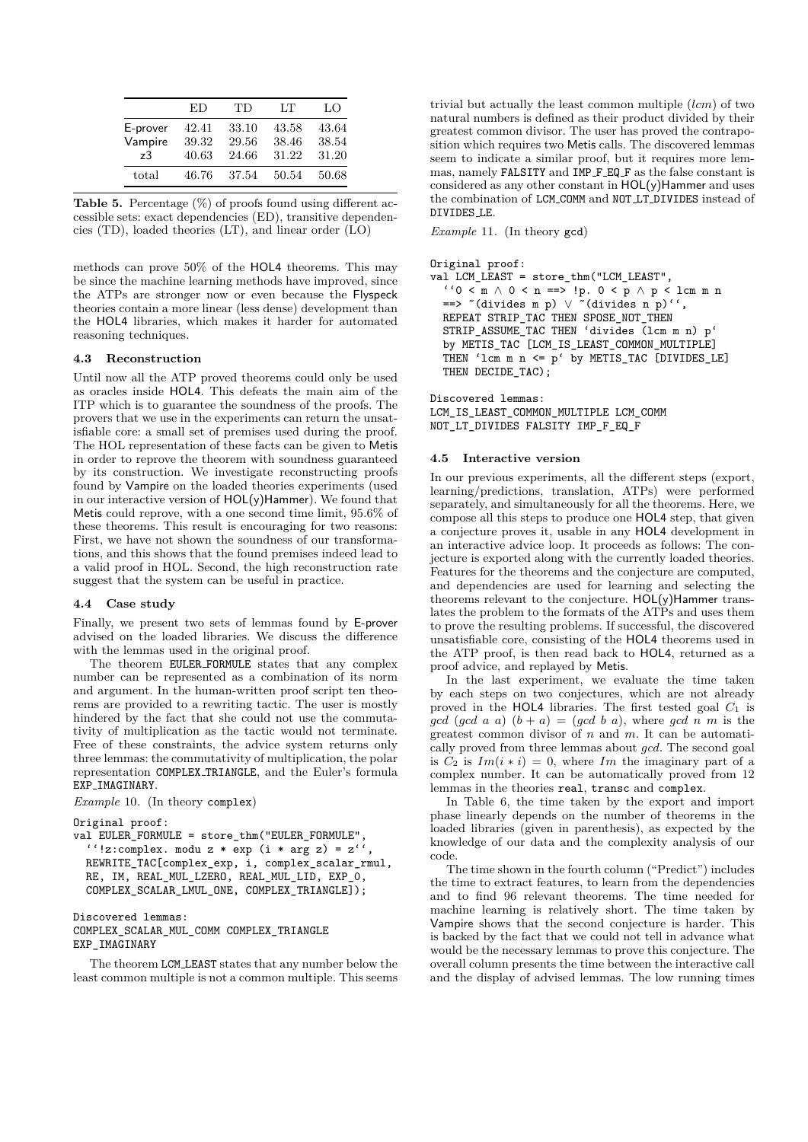|                | ED    | TD    | ŦТ    | LO    |
|----------------|-------|-------|-------|-------|
| E-prover       | 42.41 | 33.10 | 43.58 | 43.64 |
| Vampire        | 39.32 | 29.56 | 38.46 | 38.54 |
| z <sub>3</sub> | 40.63 | 24.66 | 31.22 | 31.20 |
| total          | 46.76 | 37.54 | 50.54 | 50.68 |

**Table 5.** Percentage (%) of proofs found using different accessible sets: exact dependencies (ED), transitive dependencies (TD), loaded theories (LT), and linear order (LO)

methods can prove 50% of the HOL4 theorems. This may be since the machine learning methods have improved, since the ATPs are stronger now or even because the Flyspeck theories contain a more linear (less dense) development than the HOL4 libraries, which makes it harder for automated reasoning techniques.

#### **4.3 Reconstruction**

Until now all the ATP proved theorems could only be used as oracles inside HOL4. This defeats the main aim of the ITP which is to guarantee the soundness of the proofs. The provers that we use in the experiments can return the unsatisfiable core: a small set of premises used during the proof. The HOL representation of these facts can be given to Metis in order to reprove the theorem with soundness guaranteed by its construction. We investigate reconstructing proofs found by Vampire on the loaded theories experiments (used in our interactive version of HOL(y)Hammer). We found that Metis could reprove, with a one second time limit, 95.6% of these theorems. This result is encouraging for two reasons: First, we have not shown the soundness of our transformations, and this shows that the found premises indeed lead to a valid proof in HOL. Second, the high reconstruction rate suggest that the system can be useful in practice.

#### **4.4 Case study**

Finally, we present two sets of lemmas found by E-prover advised on the loaded libraries. We discuss the difference with the lemmas used in the original proof.

The theorem EULER FORMULE states that any complex number can be represented as a combination of its norm and argument. In the human-written proof script ten theorems are provided to a rewriting tactic. The user is mostly hindered by the fact that she could not use the commutativity of multiplication as the tactic would not terminate. Free of these constraints, the advice system returns only three lemmas: the commutativity of multiplication, the polar representation COMPLEX TRIANGLE, and the Euler's formula EXP\_IMAGINARY.

*Example* 10*.* (In theory complex)

```
Original proof:
```

```
val EULER_FORMULE = store_thm("EULER_FORMULE",
  ''!z:complex. modu z * exp (i * arg z) = z'',
 REWRITE_TAC[complex_exp, i, complex_scalar_rmul,
  RE, IM, REAL_MUL_LZERO, REAL_MUL_LID, EXP_0,
  COMPLEX_SCALAR_LMUL_ONE, COMPLEX_TRIANGLE]);
```
Discovered lemmas: COMPLEX\_SCALAR\_MUL\_COMM COMPLEX\_TRIANGLE

```
EXP_IMAGINARY
```
The theorem LCM LEAST states that any number below the least common multiple is not a common multiple. This seems

trivial but actually the least common multiple (*lcm*) of two natural numbers is defined as their product divided by their greatest common divisor. The user has proved the contraposition which requires two Metis calls. The discovered lemmas seem to indicate a similar proof, but it requires more lemmas, namely FALSITY and IMP F EQ F as the false constant is considered as any other constant in HOL(y)Hammer and uses the combination of LCM COMM and NOT LT DIVIDES instead of DIVIDES LE.

*Example* 11*.* (In theory gcd)

```
Original proof:
```
val LCM\_LEAST = store\_thm("LCM\_LEAST",  $'$  '0 < m  $\wedge$  0 < n ==> !p. 0 < p  $\wedge$  p < 1cm m n ==> ˜(divides m p) ∨ ˜(divides n p)'', REPEAT STRIP\_TAC THEN SPOSE\_NOT\_THEN STRIP\_ASSUME\_TAC THEN 'divides (lcm m n) p' by METIS\_TAC [LCM\_IS\_LEAST\_COMMON\_MULTIPLE] THEN 'lcm m n <= p' by METIS\_TAC [DIVIDES\_LE] THEN DECIDE\_TAC);

Discovered lemmas: LCM\_IS\_LEAST\_COMMON\_MULTIPLE LCM\_COMM NOT LT DIVIDES FALSITY IMP F EQ F

#### **4.5 Interactive version**

In our previous experiments, all the different steps (export, learning/predictions, translation, ATPs) were performed separately, and simultaneously for all the theorems. Here, we compose all this steps to produce one HOL4 step, that given a conjecture proves it, usable in any HOL4 development in an interactive advice loop. It proceeds as follows: The conjecture is exported along with the currently loaded theories. Features for the theorems and the conjecture are computed, and dependencies are used for learning and selecting the theorems relevant to the conjecture.  $HOL(y)$ Hammer translates the problem to the formats of the ATPs and uses them to prove the resulting problems. If successful, the discovered unsatisfiable core, consisting of the HOL4 theorems used in the ATP proof, is then read back to HOL4, returned as a proof advice, and replayed by Metis.

In the last experiment, we evaluate the time taken by each steps on two conjectures, which are not already proved in the HOL4 libraries. The first tested goal *C*<sup>1</sup> is *gcd* (*gcd a a*)  $(b + a) = (gcd b a)$ , where *gcd n m* is the greatest common divisor of *n* and *m*. It can be automatically proved from three lemmas about *gcd*. The second goal is  $C_2$  is  $Im(i * i) = 0$ , where  $Im$  the imaginary part of a complex number. It can be automatically proved from 12 lemmas in the theories real, transc and complex.

In Table 6, the time taken by the export and import phase linearly depends on the number of theorems in the loaded libraries (given in parenthesis), as expected by the knowledge of our data and the complexity analysis of our code.

The time shown in the fourth column ("Predict") includes the time to extract features, to learn from the dependencies and to find 96 relevant theorems. The time needed for machine learning is relatively short. The time taken by Vampire shows that the second conjecture is harder. This is backed by the fact that we could not tell in advance what would be the necessary lemmas to prove this conjecture. The overall column presents the time between the interactive call and the display of advised lemmas. The low running times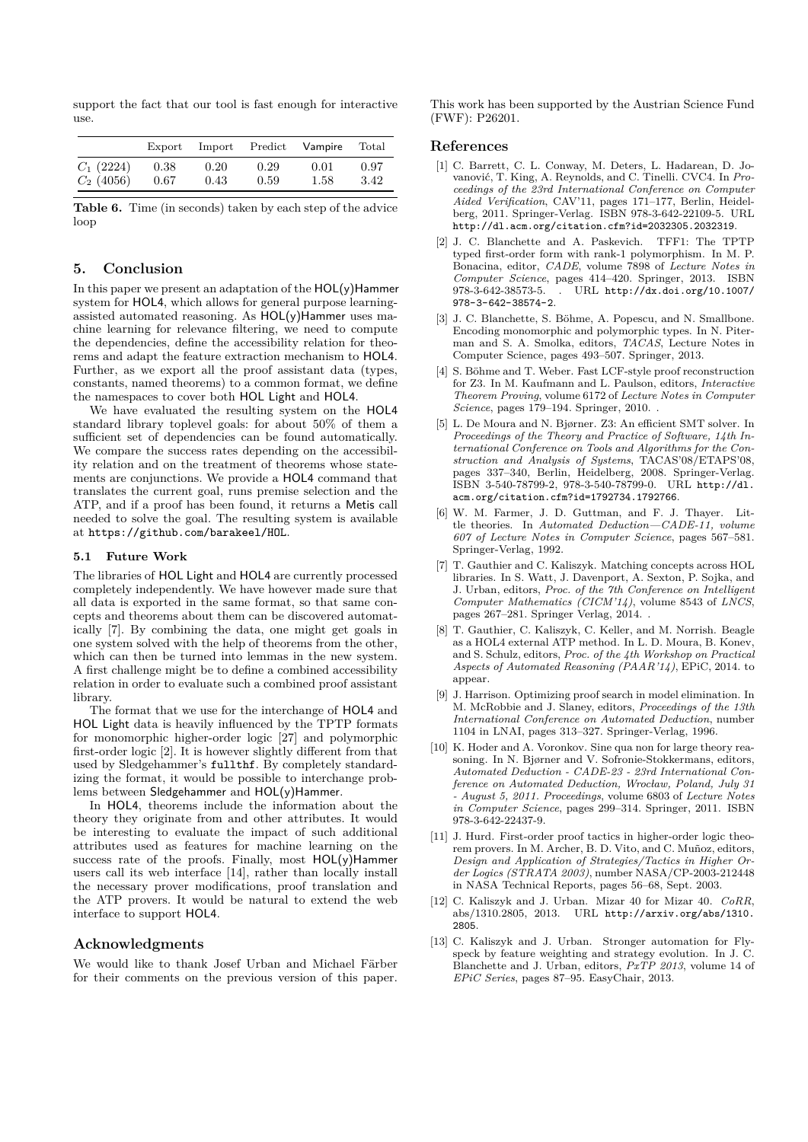support the fact that our tool is fast enough for interactive  $11S<sub>P</sub>$ 

|              | Export | Import | Predict | Vampire | Total |
|--------------|--------|--------|---------|---------|-------|
| $C_1(2224)$  | 0.38   | 0.20   | 0.29    | 0.01    | 0.97  |
| $C_2$ (4056) | 0.67   | 0.43   | 0.59    | 1.58    | 3.42  |

**Table 6.** Time (in seconds) taken by each step of the advice loop

## **5. Conclusion**

In this paper we present an adaptation of the  $HOL(y)$ Hammer system for HOL4, which allows for general purpose learningassisted automated reasoning. As  $HOL(y)$ Hammer uses machine learning for relevance filtering, we need to compute the dependencies, define the accessibility relation for theorems and adapt the feature extraction mechanism to HOL4. Further, as we export all the proof assistant data (types, constants, named theorems) to a common format, we define the namespaces to cover both HOL Light and HOL4.

We have evaluated the resulting system on the HOL4 standard library toplevel goals: for about 50% of them a sufficient set of dependencies can be found automatically. We compare the success rates depending on the accessibility relation and on the treatment of theorems whose statements are conjunctions. We provide a HOL4 command that translates the current goal, runs premise selection and the ATP, and if a proof has been found, it returns a Metis call needed to solve the goal. The resulting system is available at https://github.com/barakeel/HOL.

## **5.1 Future Work**

The libraries of HOL Light and HOL4 are currently processed completely independently. We have however made sure that all data is exported in the same format, so that same concepts and theorems about them can be discovered automatically [7]. By combining the data, one might get goals in one system solved with the help of theorems from the other, which can then be turned into lemmas in the new system. A first challenge might be to define a combined accessibility relation in order to evaluate such a combined proof assistant library.

The format that we use for the interchange of HOL4 and HOL Light data is heavily influenced by the TPTP formats for monomorphic higher-order logic [27] and polymorphic first-order logic [2]. It is however slightly different from that used by Sledgehammer's fullthf. By completely standardizing the format, it would be possible to interchange problems between Sledgehammer and HOL(y)Hammer.

In HOL4, theorems include the information about the theory they originate from and other attributes. It would be interesting to evaluate the impact of such additional attributes used as features for machine learning on the success rate of the proofs. Finally, most HOL(y)Hammer users call its web interface [14], rather than locally install the necessary prover modifications, proof translation and the ATP provers. It would be natural to extend the web interface to support HOL4.

#### **Acknowledgments**

We would like to thank Josef Urban and Michael Färber for their comments on the previous version of this paper. This work has been supported by the Austrian Science Fund (FWF): P26201.

#### **References**

- [1] C. Barrett, C. L. Conway, M. Deters, L. Hadarean, D. Jovanović, T. King, A. Reynolds, and C. Tinelli. CVC4. In *Proceedings of the 23rd International Conference on Computer Aided Verification*, CAV'11, pages 171–177, Berlin, Heidelberg, 2011. Springer-Verlag. ISBN 978-3-642-22109-5. URL http://dl.acm.org/citation.cfm?id=2032305.2032319.
- [2] J. C. Blanchette and A. Paskevich. TFF1: The TPTP typed first-order form with rank-1 polymorphism. In M. P. Bonacina, editor, *CADE*, volume 7898 of *Lecture Notes in Computer Science*, pages 414–420. Springer, 2013. ISBN URL http://dx.doi.org/10.1007/ 978-3-642-38574-2.
- [3] J. C. Blanchette, S. Böhme, A. Popescu, and N. Smallbone. Encoding monomorphic and polymorphic types. In N. Piterman and S. A. Smolka, editors, *TACAS*, Lecture Notes in Computer Science, pages 493–507. Springer, 2013.
- [4] S. Böhme and T. Weber. Fast LCF-style proof reconstruction for Z3. In M. Kaufmann and L. Paulson, editors, *Interactive Theorem Proving*, volume 6172 of *Lecture Notes in Computer Science*, pages 179–194. Springer, 2010. .
- [5] L. De Moura and N. Bjørner. Z3: An efficient SMT solver. In *Proceedings of the Theory and Practice of Software, 14th International Conference on Tools and Algorithms for the Construction and Analysis of Systems*, TACAS'08/ETAPS'08, pages 337–340, Berlin, Heidelberg, 2008. Springer-Verlag. ISBN 3-540-78799-2, 978-3-540-78799-0. URL http://dl. acm.org/citation.cfm?id=1792734.1792766.
- [6] W. M. Farmer, J. D. Guttman, and F. J. Thayer. Little theories. In *Automated Deduction—CADE-11, volume 607 of Lecture Notes in Computer Science*, pages 567–581. Springer-Verlag, 1992.
- [7] T. Gauthier and C. Kaliszyk. Matching concepts across HOL libraries. In S. Watt, J. Davenport, A. Sexton, P. Sojka, and J. Urban, editors, *Proc. of the 7th Conference on Intelligent Computer Mathematics (CICM'14)*, volume 8543 of *LNCS*, pages 267–281. Springer Verlag, 2014. .
- [8] T. Gauthier, C. Kaliszyk, C. Keller, and M. Norrish. Beagle as a HOL4 external ATP method. In L. D. Moura, B. Konev, and S. Schulz, editors, *Proc. of the 4th Workshop on Practical Aspects of Automated Reasoning (PAAR'14)*, EPiC, 2014. to appear.
- [9] J. Harrison. Optimizing proof search in model elimination. In M. McRobbie and J. Slaney, editors, *Proceedings of the 13th International Conference on Automated Deduction*, number 1104 in LNAI, pages 313–327. Springer-Verlag, 1996.
- [10] K. Hoder and A. Voronkov. Sine qua non for large theory reasoning. In N. Bjørner and V. Sofronie-Stokkermans, editors, *Automated Deduction - CADE-23 - 23rd International Conference on Automated Deduction, Wrocław, Poland, July 31 - August 5, 2011. Proceedings*, volume 6803 of *Lecture Notes in Computer Science*, pages 299–314. Springer, 2011. ISBN 978-3-642-22437-9.
- [11] J. Hurd. First-order proof tactics in higher-order logic theorem provers. In M. Archer, B. D. Vito, and C. Muñoz, editors, *Design and Application of Strategies/Tactics in Higher Order Logics (STRATA 2003)*, number NASA/CP-2003-212448 in NASA Technical Reports, pages 56–68, Sept. 2003.
- [12] C. Kaliszyk and J. Urban. Mizar 40 for Mizar 40. *CoRR*, abs/1310.2805, 2013. URL http://arxiv.org/abs/1310. 2805.
- [13] C. Kaliszyk and J. Urban. Stronger automation for Flyspeck by feature weighting and strategy evolution. In J. C. Blanchette and J. Urban, editors, *PxTP 2013*, volume 14 of *EPiC Series*, pages 87–95. EasyChair, 2013.